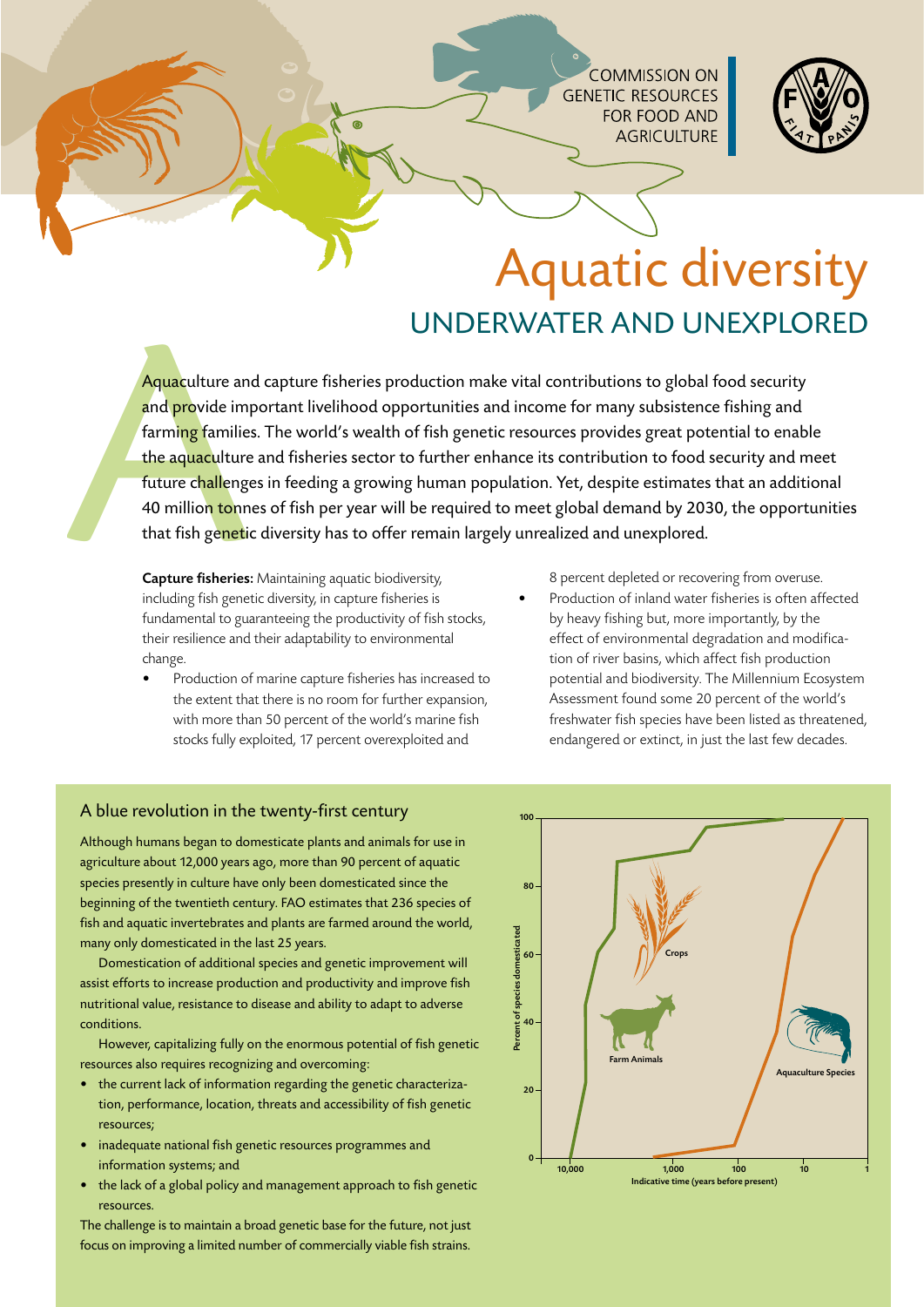**COMMISSION ON GENETIC RESOURCES** FOR FOOD AND **AGRICULTURE** 



# Aquatic diversity underwater and unexplored

Aquaculture and<br>
and provide improvide improvide improvide improvide improvide improvide improvide improvide and the aquaculture<br>
future challenge<br>
40 million tonn<br>
that fish genetic<br>
Capture fisheries:<br>
including fish gen Aquaculture and capture fisheries production make vital contributions to global food security and provide important livelihood opportunities and income for many subsistence fishing and farming families. The world's wealth of fish genetic resources provides great potential to enable the aquaculture and fisheries sector to further enhance its contribution to food security and meet future challenges in feeding a growing human population. Yet, despite estimates that an additional 40 million tonnes of fish per year will be required to meet global demand by 2030, the opportunities that fish genetic diversity has to offer remain largely unrealized and unexplored.

Capture fisheries: Maintaining aquatic biodiversity, including fish genetic diversity, in capture fisheries is fundamental to guaranteeing the productivity of fish stocks, their resilience and their adaptability to environmental change.

Production of marine capture fisheries has increased to the extent that there is no room for further expansion, with more than 50 percent of the world's marine fish stocks fully exploited, 17 percent overexploited and

8 percent depleted or recovering from overuse.

Production of inland water fisheries is often affected by heavy fishing but, more importantly, by the effect of environmental degradation and modification of river basins, which affect fish production potential and biodiversity. The Millennium Ecosystem Assessment found some 20 percent of the world's freshwater fish species have been listed as threatened, endangered or extinct, in just the last few decades.

### A blue revolution in the twenty-first century

Although humans began to domesticate plants and animals for use in agriculture about 12,000 years ago, more than 90 percent of aquatic species presently in culture have only been domesticated since the beginning of the twentieth century. FAO estimates that 236 species of fish and aquatic invertebrates and plants are farmed around the world, many only domesticated in the last 25 years.

 Domestication of additional species and genetic improvement will assist efforts to increase production and productivity and improve fish nutritional value, resistance to disease and ability to adapt to adverse conditions.

However, capitalizing fully on the enormous potential of fish genetic resources also requires recognizing and overcoming:

- the current lack of information regarding the genetic characterization, performance, location, threats and accessibility of fish genetic resources;
- inadequate national fish genetic resources programmes and information systems; and
- the lack of a global policy and management approach to fish genetic resources.

The challenge is to maintain a broad genetic base for the future, not just focus on improving a limited number of commercially viable fish strains.